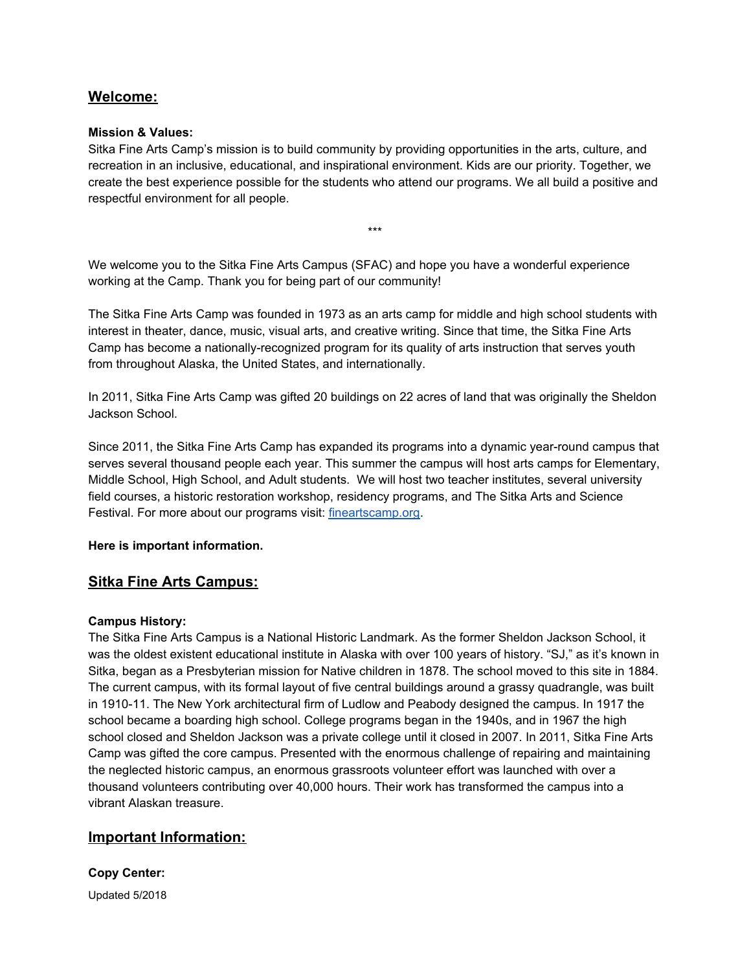# **Welcome:**

# **Mission & Values:**

Sitka Fine Arts Camp's mission is to build community by providing opportunities in the arts, culture, and recreation in an inclusive, educational, and inspirational environment. Kids are our priority. Together, we create the best experience possible for the students who attend our programs. We all build a positive and respectful environment for all people.

\*\*\*

We welcome you to the Sitka Fine Arts Campus (SFAC) and hope you have a wonderful experience working at the Camp. Thank you for being part of our community!

The Sitka Fine Arts Camp was founded in 1973 as an arts camp for middle and high school students with interest in theater, dance, music, visual arts, and creative writing. Since that time, the Sitka Fine Arts Camp has become a nationally-recognized program for its quality of arts instruction that serves youth from throughout Alaska, the United States, and internationally.

In 2011, Sitka Fine Arts Camp was gifted 20 buildings on 22 acres of land that was originally the Sheldon Jackson School.

Since 2011, the Sitka Fine Arts Camp has expanded its programs into a dynamic year-round campus that serves several thousand people each year. This summer the campus will host arts camps for Elementary, Middle School, High School, and Adult students. We will host two teacher institutes, several university field courses, a historic restoration workshop, residency programs, and The Sitka Arts and Science Festival. For more about our programs visit: [fineartscamp.org.](http://fineartscamp.org/)

# **Here is important information.**

# **Sitka Fine Arts Campus:**

### **Campus History:**

The Sitka Fine Arts Campus is a National Historic Landmark. As the former Sheldon Jackson School, it was the oldest existent educational institute in Alaska with over 100 years of history. "SJ," as it's known in Sitka, began as a Presbyterian mission for Native children in 1878. The school moved to this site in 1884. The current campus, with its formal layout of five central buildings around a grassy quadrangle, was built in 1910-11. The New York architectural firm of Ludlow and Peabody designed the campus. In 1917 the school became a boarding high school. College programs began in the 1940s, and in 1967 the high school closed and Sheldon Jackson was a private college until it closed in 2007. In 2011, Sitka Fine Arts Camp was gifted the core campus. Presented with the enormous challenge of repairing and maintaining the neglected historic campus, an enormous grassroots volunteer effort was launched with over a thousand volunteers contributing over 40,000 hours. Their work has transformed the campus into a vibrant Alaskan treasure.

# **Important Information:**

**Copy Center:**

Updated 5/2018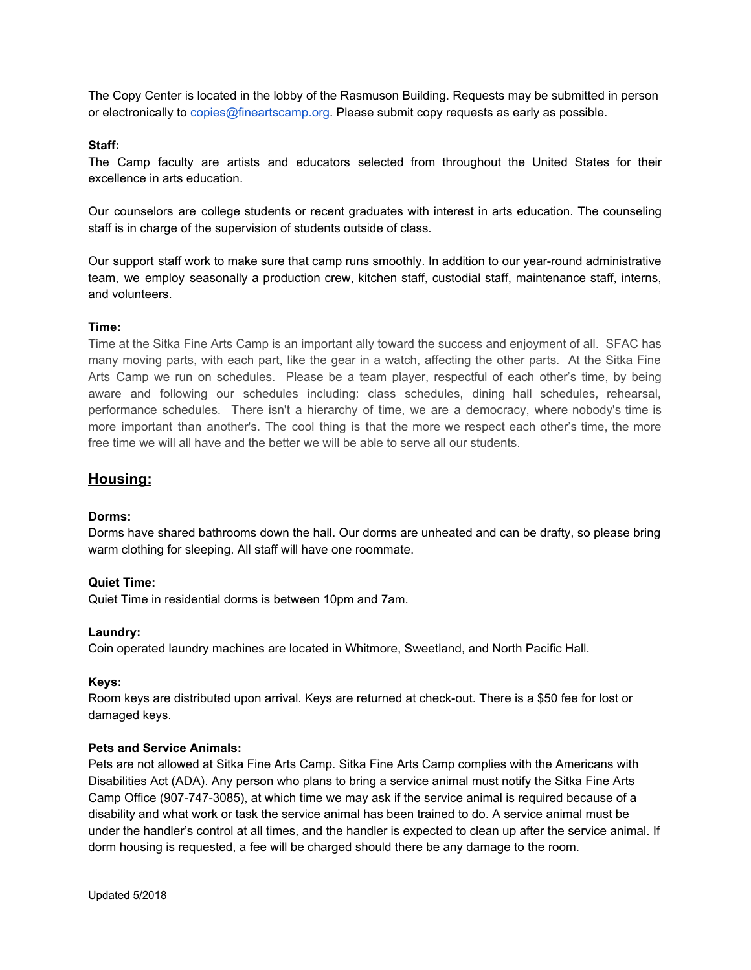The Copy Center is located in the lobby of the Rasmuson Building. Requests may be submitted in person or electronically to [copies@fineartscamp.org](mailto:copies@fineartscamp.org). Please submit copy requests as early as possible.

### **Staff:**

The Camp faculty are artists and educators selected from throughout the United States for their excellence in arts education.

Our counselors are college students or recent graduates with interest in arts education. The counseling staff is in charge of the supervision of students outside of class.

Our support staff work to make sure that camp runs smoothly. In addition to our year-round administrative team, we employ seasonally a production crew, kitchen staff, custodial staff, maintenance staff, interns, and volunteers.

## **Time:**

Time at the Sitka Fine Arts Camp is an important ally toward the success and enjoyment of all. SFAC has many moving parts, with each part, like the gear in a watch, affecting the other parts. At the Sitka Fine Arts Camp we run on schedules. Please be a team player, respectful of each other's time, by being aware and following our schedules including: class schedules, dining hall schedules, rehearsal, performance schedules. There isn't a hierarchy of time, we are a democracy, where nobody's time is more important than another's. The cool thing is that the more we respect each other's time, the more free time we will all have and the better we will be able to serve all our students.

# **Housing:**

### **Dorms:**

Dorms have shared bathrooms down the hall. Our dorms are unheated and can be drafty, so please bring warm clothing for sleeping. All staff will have one roommate.

### **Quiet Time:**

Quiet Time in residential dorms is between 10pm and 7am.

### **Laundry:**

Coin operated laundry machines are located in Whitmore, Sweetland, and North Pacific Hall.

### **Keys:**

Room keys are distributed upon arrival. Keys are returned at check-out. There is a \$50 fee for lost or damaged keys.

## **Pets and Service Animals:**

Pets are not allowed at Sitka Fine Arts Camp. Sitka Fine Arts Camp complies with the Americans with Disabilities Act (ADA). Any person who plans to bring a service animal must notify the Sitka Fine Arts Camp Office (907-747-3085), at which time we may ask if the service animal is required because of a disability and what work or task the service animal has been trained to do. A service animal must be under the handler's control at all times, and the handler is expected to clean up after the service animal. If dorm housing is requested, a fee will be charged should there be any damage to the room.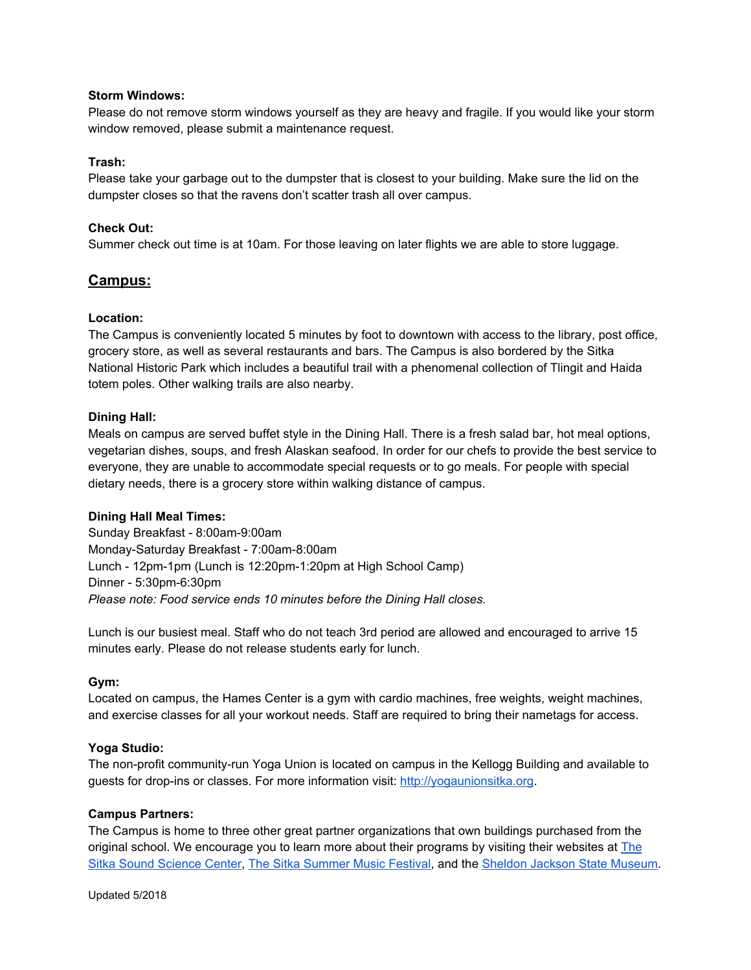## **Storm Windows:**

Please do not remove storm windows yourself as they are heavy and fragile. If you would like your storm window removed, please submit a maintenance request.

## **Trash:**

Please take your garbage out to the dumpster that is closest to your building. Make sure the lid on the dumpster closes so that the ravens don't scatter trash all over campus.

## **Check Out:**

Summer check out time is at 10am. For those leaving on later flights we are able to store luggage.

# **Campus:**

## **Location:**

The Campus is conveniently located 5 minutes by foot to downtown with access to the library, post office, grocery store, as well as several restaurants and bars. The Campus is also bordered by the Sitka National Historic Park which includes a beautiful trail with a phenomenal collection of Tlingit and Haida totem poles. Other walking trails are also nearby.

## **Dining Hall:**

Meals on campus are served buffet style in the Dining Hall. There is a fresh salad bar, hot meal options, vegetarian dishes, soups, and fresh Alaskan seafood. In order for our chefs to provide the best service to everyone, they are unable to accommodate special requests or to go meals. For people with special dietary needs, there is a grocery store within walking distance of campus.

### **Dining Hall Meal Times:**

Sunday Breakfast - 8:00am-9:00am Monday-Saturday Breakfast - 7:00am-8:00am Lunch - 12pm-1pm (Lunch is 12:20pm-1:20pm at High School Camp) Dinner - 5:30pm-6:30pm *Please note: Food service ends 10 minutes before the Dining Hall closes.*

Lunch is our busiest meal. Staff who do not teach 3rd period are allowed and encouraged to arrive 15 minutes early. Please do not release students early for lunch.

### **Gym:**

Located on campus, the Hames Center is a gym with cardio machines, free weights, weight machines, and exercise classes for all your workout needs. Staff are required to bring their nametags for access.

# **Yoga Studio:**

The non-profit community-run Yoga Union is located on campus in the Kellogg Building and available to guests for drop-ins or classes. For more information visit: [http://yogaunionsitka.org](http://yogaunionsitka.org/).

### **Campus Partners:**

The Campus is home to three other great partner organizations that own buildings purchased from the original school. We encourage you to learn more about their programs by visiting their websites at [The](http://sitkascience.org/) Sitka Sound [Science](http://sitkascience.org/) Center, The Sitka [Summer](http://alaskaclassics.org/) Music Festival, and the Sheldon Jackson State [Museum](http://museums.alaska.gov/sheldon_jackson/sjhome.html).